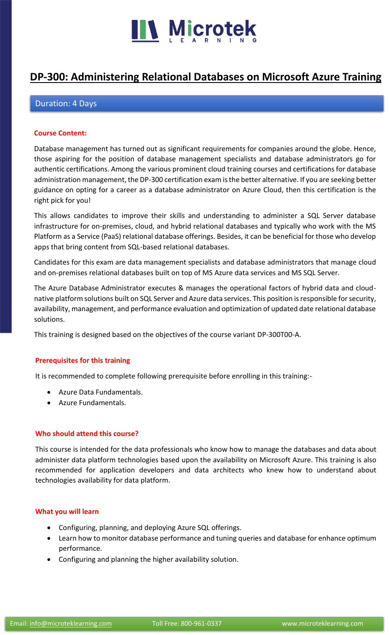

# **[DP-300: Administering Relational Databases on Microsoft Azure Training](https://www.microteklearning.com/dp-300-relational-databases-training/)**

# Duration: 4 Days

### **Course Content:**

Database management has turned out as significant requirements for companies around the globe. Hence, those aspiring for the position of database management specialists and database administrators go for authentic certifications. Among the various prominent cloud training courses and certifications for database administration management, the DP-300 certification exam is the better alternative. If you are seeking better guidance on opting for a career as a database administrator on Azure Cloud, then this certification is the right pick for you!

This allows candidates to improve their skills and understanding to administer a SQL Server database infrastructure for on-premises, cloud, and hybrid relational databases and typically who work with the MS Platform as a Service (PaaS) relational database offerings. Besides, it can be beneficial for those who develop apps that bring content from SQL-based relational databases.

Candidates for this exam are data management specialists and database administrators that manage cloud and on-premises relational databases built on top of MS Azure data services and MS SQL Server.

The Azure Database Administrator executes & manages the operational factors of hybrid data and cloudnative platform solutions built on SQL Server and Azure data services. This position is responsible for security, availability, management, and performance evaluation and optimization of updated date relational database solutions.

This training is designed based on the objectives of the course variant DP-300T00-A.

# **Prerequisites for this training**

It is recommended to complete following prerequisite before enrolling in this training:-

- Azure Data Fundamentals.
- Azure Fundamentals.

#### **Who should attend this course?**

This course is intended for the data professionals who know how to manage the databases and data about administer data platform technologies based upon the availability on Microsoft Azure. This training is also recommended for application developers and data architects who knew how to understand about technologies availability for data platform.

# **What you will learn**

- Configuring, planning, and deploying Azure SQL offerings.
- Learn how to monitor database performance and tuning queries and database for enhance optimum performance.
- Configuring and planning the higher availability solution.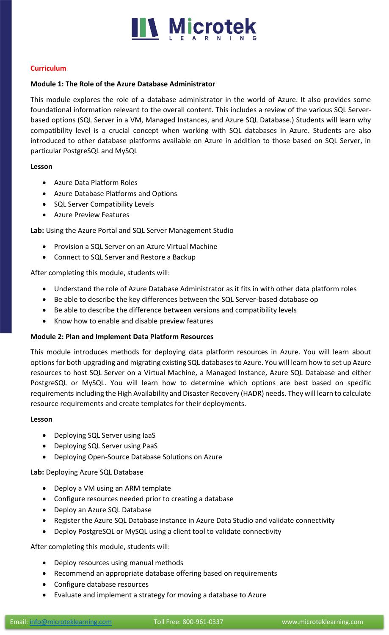

# **Curriculum**

# **Module 1: The Role of the Azure Database Administrator**

This module explores the role of a database administrator in the world of Azure. It also provides some foundational information relevant to the overall content. This includes a review of the various SQL Serverbased options (SQL Server in a VM, Managed Instances, and Azure SQL Database.) Students will learn why compatibility level is a crucial concept when working with SQL databases in Azure. Students are also introduced to other database platforms available on Azure in addition to those based on SQL Server, in particular PostgreSQL and MySQL

# **Lesson**

- Azure Data Platform Roles
- Azure Database Platforms and Options
- SQL Server Compatibility Levels
- Azure Preview Features

# **Lab:** Using the Azure Portal and SQL Server Management Studio

- Provision a SQL Server on an Azure Virtual Machine
- Connect to SQL Server and Restore a Backup

After completing this module, students will:

- Understand the role of Azure Database Administrator as it fits in with other data platform roles
- Be able to describe the key differences between the SQL Server-based database op
- Be able to describe the difference between versions and compatibility levels
- Know how to enable and disable preview features

# **Module 2: Plan and Implement Data Platform Resources**

This module introduces methods for deploying data platform resources in Azure. You will learn about options for both upgrading and migrating existing SQL databases to Azure. You will learn how to set up Azure resources to host SQL Server on a Virtual Machine, a Managed Instance, Azure SQL Database and either PostgreSQL or MySQL. You will learn how to determine which options are best based on specific requirements including the High Availability and Disaster Recovery (HADR) needs. They will learn to calculate resource requirements and create templates for their deployments.

# **Lesson**

- Deploying SQL Server using IaaS
- Deploying SQL Server using PaaS
- Deploying Open-Source Database Solutions on Azure

# **Lab:** Deploying Azure SQL Database

- Deploy a VM using an ARM template
- Configure resources needed prior to creating a database
- Deploy an Azure SQL Database
- Register the Azure SQL Database instance in Azure Data Studio and validate connectivity
- Deploy PostgreSQL or MySQL using a client tool to validate connectivity

After completing this module, students will:

- Deploy resources using manual methods
- Recommend an appropriate database offering based on requirements
- Configure database resources
- Evaluate and implement a strategy for moving a database to Azure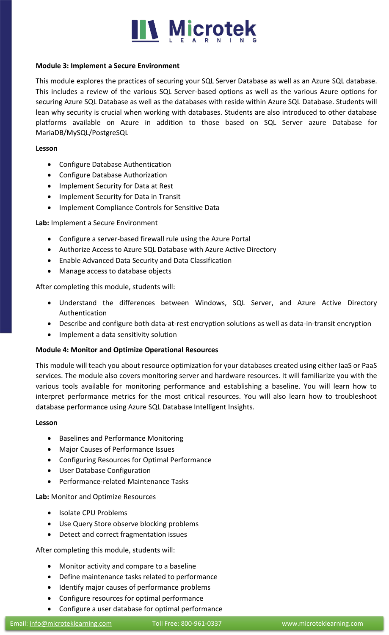

# **Module 3: Implement a Secure Environment**

This module explores the practices of securing your SQL Server Database as well as an Azure SQL database. This includes a review of the various SQL Server-based options as well as the various Azure options for securing Azure SQL Database as well as the databases with reside within Azure SQL Database. Students will lean why security is crucial when working with databases. Students are also introduced to other database platforms available on Azure in addition to those based on SQL Server azure Database for MariaDB/MySQL/PostgreSQL

### **Lesson**

- Configure Database Authentication
- Configure Database Authorization
- Implement Security for Data at Rest
- Implement Security for Data in Transit
- Implement Compliance Controls for Sensitive Data

# **Lab:** Implement a Secure Environment

- Configure a server-based firewall rule using the Azure Portal
- Authorize Access to Azure SQL Database with Azure Active Directory
- Enable Advanced Data Security and Data Classification
- Manage access to database objects

After completing this module, students will:

- Understand the differences between Windows, SQL Server, and Azure Active Directory Authentication
- Describe and configure both data-at-rest encryption solutions as well as data-in-transit encryption
- Implement a data sensitivity solution

# **Module 4: Monitor and Optimize Operational Resources**

This module will teach you about resource optimization for your databases created using either IaaS or PaaS services. The module also covers monitoring server and hardware resources. It will familiarize you with the various tools available for monitoring performance and establishing a baseline. You will learn how to interpret performance metrics for the most critical resources. You will also learn how to troubleshoot database performance using Azure SQL Database Intelligent Insights.

# **Lesson**

- Baselines and Performance Monitoring
- Major Causes of Performance Issues
- Configuring Resources for Optimal Performance
- User Database Configuration
- Performance-related Maintenance Tasks

**Lab:** Monitor and Optimize Resources

- Isolate CPU Problems
- Use Query Store observe blocking problems
- Detect and correct fragmentation issues

After completing this module, students will:

- Monitor activity and compare to a baseline
- Define maintenance tasks related to performance
- Identify major causes of performance problems
- Configure resources for optimal performance
- Configure a user database for optimal performance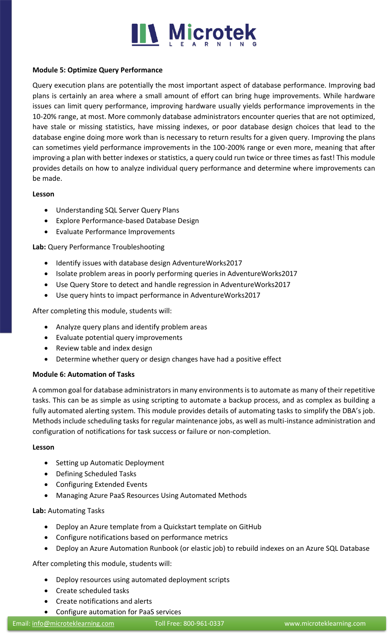

# **Module 5: Optimize Query Performance**

Query execution plans are potentially the most important aspect of database performance. Improving bad plans is certainly an area where a small amount of effort can bring huge improvements. While hardware issues can limit query performance, improving hardware usually yields performance improvements in the 10-20% range, at most. More commonly database administrators encounter queries that are not optimized, have stale or missing statistics, have missing indexes, or poor database design choices that lead to the database engine doing more work than is necessary to return results for a given query. Improving the plans can sometimes yield performance improvements in the 100-200% range or even more, meaning that after improving a plan with better indexes or statistics, a query could run twice or three times as fast! This module provides details on how to analyze individual query performance and determine where improvements can be made.

# **Lesson**

- Understanding SQL Server Query Plans
- Explore Performance-based Database Design
- Evaluate Performance Improvements

# **Lab:** Query Performance Troubleshooting

- Identify issues with database design AdventureWorks2017
- Isolate problem areas in poorly performing queries in AdventureWorks2017
- Use Query Store to detect and handle regression in AdventureWorks2017
- Use query hints to impact performance in AdventureWorks2017

After completing this module, students will:

- Analyze query plans and identify problem areas
- Evaluate potential query improvements
- Review table and index design
- Determine whether query or design changes have had a positive effect

# **Module 6: Automation of Tasks**

A common goal for database administrators in many environments is to automate as many of their repetitive tasks. This can be as simple as using scripting to automate a backup process, and as complex as building a fully automated alerting system. This module provides details of automating tasks to simplify the DBA's job. Methods include scheduling tasks for regular maintenance jobs, as well as multi-instance administration and configuration of notifications for task success or failure or non-completion.

# **Lesson**

- Setting up Automatic Deployment
- Defining Scheduled Tasks
- Configuring Extended Events
- Managing Azure PaaS Resources Using Automated Methods

# **Lab:** Automating Tasks

- Deploy an Azure template from a Quickstart template on GitHub
- Configure notifications based on performance metrics
- Deploy an Azure Automation Runbook (or elastic job) to rebuild indexes on an Azure SQL Database

After completing this module, students will:

- Deploy resources using automated deployment scripts
- Create scheduled tasks
- Create notifications and alerts
- Configure automation for PaaS services